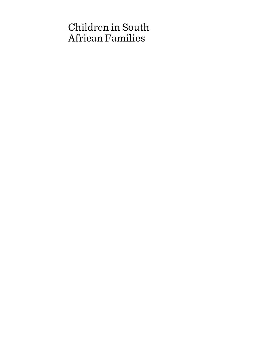# Children in South African Families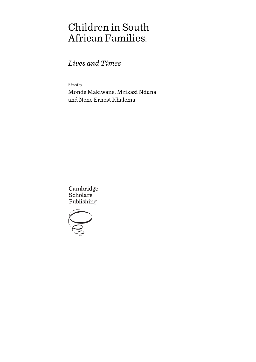# Children in South African Families:

*Lives and Times*

Edited by

Monde Makiwane, Mzikazi Nduna and Nene Ernest Khalema

Cambridge **Scholars** Publishing

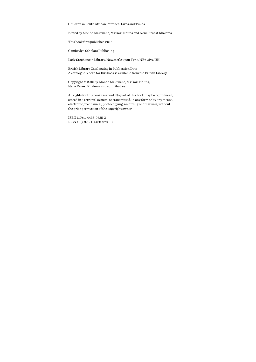Children in South African Families: Lives and Times

Edited by Monde Makiwane, Mzikazi Nduna and Nene Ernest Khalema

This book first published 2016

Cambridge Scholars Publishing

Lady Stephenson Library, Newcastle upon Tyne, NE6 2PA, UK

British Library Cataloguing in Publication Data A catalogue record for this book is available from the British Library

Copyright © 2016 by Monde Makiwane, Mzikazi Nduna, Nene Ernest Khalema and contributors

All rights for this book reserved. No part of this book may be reproduced, stored in a retrieval system, or transmitted, in any form or by any means, electronic, mechanical, photocopying, recording or otherwise, without the prior permission of the copyright owner.

ISBN (10): 1-4438-9735-3 ISBN (13): 978-1-4438-9735-8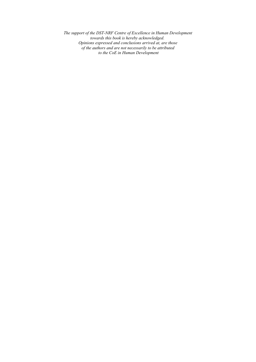*The support of the DST-NRF Centre of Excellence in Human Development towards this book is hereby acknowledged. Opinions expressed and conclusions arrived at, are those of the authors and are not necessarily to be attributed to the CoE in Human Development*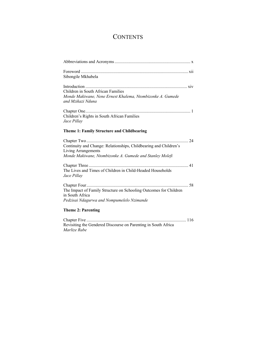### **CONTENTS**

| Sibongile Mkhabela                                                                               |  |
|--------------------------------------------------------------------------------------------------|--|
|                                                                                                  |  |
| Children in South African Families<br>Monde Makiwane, Nene Ernest Khalema, Ntombizonke A. Gumede |  |
| and Mzikazi Nduna                                                                                |  |
|                                                                                                  |  |
| Children's Rights in South African Families                                                      |  |
| Jace Pillay                                                                                      |  |
| Theme 1: Family Structure and Childbearing                                                       |  |
|                                                                                                  |  |
| Continuity and Change: Relationships, Childbearing and Children's                                |  |
| <b>Living Arrangements</b><br>Monde Makiwane, Ntombizonke A. Gumede and Stanley Molefi           |  |
|                                                                                                  |  |
|                                                                                                  |  |
| The Lives and Times of Children in Child-Headed Households<br>Jace Pillay                        |  |
|                                                                                                  |  |
| The Impact of Family Structure on Schooling Outcomes for Children                                |  |
| in South Africa                                                                                  |  |
| Pedzisai Ndagurwa and Nompumelelo Nzimande                                                       |  |
| <b>Theme 2: Parenting</b>                                                                        |  |
|                                                                                                  |  |
| $\alpha$ intervals and $\alpha$ is a state of $\alpha$                                           |  |

Revisiting the Gendered Discourse on Parenting in South Africa *Marlize Rabe*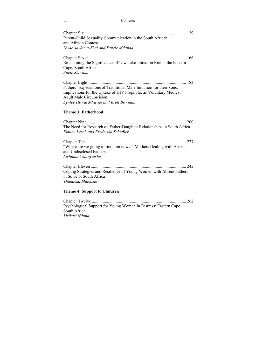viii Contents

| Parent-Child Sexuality Communication in the South African<br>and African Context<br>Nwabisa Jama-Shai and Sanele Mdanda                                                                                             |
|---------------------------------------------------------------------------------------------------------------------------------------------------------------------------------------------------------------------|
| Re-claiming the Significance of Ulwaluko Initiation Rite in the Eastern<br>Cape, South Africa<br>Anele Siswana                                                                                                      |
| Fathers' Expectations of Traditional Male Initiation for their Sons:<br>Implications for the Uptake of HIV Prophylactic Voluntary Medical<br><b>Adult Male Circumcision</b><br>Lynlee Howard-Payne and Brett Bowman |
| <b>Theme 3: Fatherhood</b>                                                                                                                                                                                          |
| The Need for Research on Father-Daughter Relationships in South Africa<br>Elmien Lesch and Frederika Scheffler                                                                                                      |
| "Where are we going to find him now?": Mothers Dealing with Absent<br>and Undisclosed Fathers<br>Livhuhani Manyatshe                                                                                                |
| Coping Strategies and Resilience of Young Women with Absent Fathers<br>in Soweto, South Africa<br>Thandeka Mdletshe                                                                                                 |
| <b>Theme 4: Support to Children</b>                                                                                                                                                                                 |
| Psychological Support for Young Women in Distress: Eastern Cape,<br>South Africa<br>Mzikazi Nduna                                                                                                                   |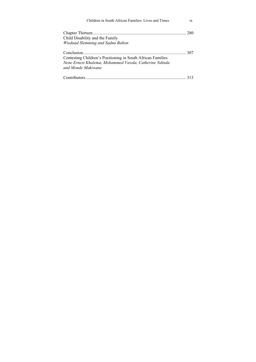| Children in South African Families: Lives and Times                                                                                        | 1X |
|--------------------------------------------------------------------------------------------------------------------------------------------|----|
| Child Disability and the Family                                                                                                            |    |
| Wiedaad Slemming and Sadna Balton                                                                                                          |    |
| Contesting Children's Positioning in South African Families<br>Nene Ernest Khalema, Mohammed Vawda, Catherine Ndinda<br>and Monde Makiwane |    |
|                                                                                                                                            |    |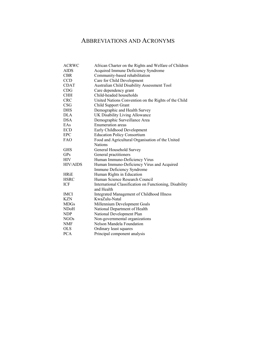### ABBREVIATIONS AND ACRONYMS

| <b>ACRWC</b>     | African Charter on the Rights and Welfare of Children                 |
|------------------|-----------------------------------------------------------------------|
| <b>AIDS</b>      | Acquired Immune Deficiency Syndrome                                   |
| <b>CBR</b>       | Community-based rehabilitation                                        |
| <b>CCD</b>       | Care for Child Development                                            |
| <b>CDAT</b>      | Australian Child Disability Assessment Tool                           |
| CDG              | Care dependency grant                                                 |
| <b>CHH</b>       | Child-headed households                                               |
| <b>CRC</b>       | United Nations Convention on the Rights of the Child                  |
| <b>CSG</b>       | Child Support Grant                                                   |
| <b>DHS</b>       | Demographic and Health Survey                                         |
| DLA              | UK Disability Living Allowance                                        |
| <b>DSA</b>       | Demographic Surveillance Area                                         |
| EAs              | Enumeration areas                                                     |
| <b>ECD</b>       | Early Childhood Development                                           |
| <b>EPC</b>       | <b>Education Policy Consortium</b>                                    |
| <b>FAO</b>       | Food and Agricultural Organisation of the United                      |
|                  | <b>Nations</b>                                                        |
| <b>GHS</b>       | General Household Survey                                              |
| <b>GPs</b>       | General practitioners                                                 |
| <b>HIV</b>       | Human Immuno-Deficiency Virus                                         |
| <b>HIV/AIDS</b>  | Human Immuno-Deficiency Virus and Acquired                            |
|                  | Immune Deficiency Syndrome                                            |
| <b>HRiE</b>      | Human Rights in Education                                             |
| <b>HSRC</b>      | Human Science Research Council                                        |
| ICF              | International Classification on Functioning, Disability<br>and Health |
| <b>IMCI</b>      | Integrated Management of Childhood Illness                            |
| KZN              | KwaZulu-Natal                                                         |
| <b>MDGs</b>      | Millennium Development Goals                                          |
| NDoH             | National Department of Health                                         |
| <b>NDP</b>       | National Development Plan                                             |
| NGO <sub>s</sub> | Non-governmental organizations                                        |
| NMF              | Nelson Mandela Foundation                                             |
| <b>OLS</b>       | Ordinary least squares                                                |
| <b>PCA</b>       | Principal component analysis                                          |
|                  |                                                                       |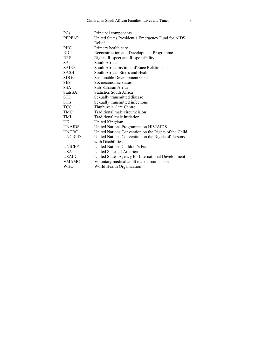| <b>PCs</b>     | Principal components                                 |
|----------------|------------------------------------------------------|
| <b>PEPFAR</b>  | United States President's Emergency Fund for AIDS    |
|                | Relief                                               |
| <b>PHC</b>     | Primary health care                                  |
| <b>RDP</b>     | Reconstruction and Development Programme             |
| <b>RRR</b>     | Rights, Respect and Responsibility                   |
| SA.            | South Africa                                         |
| <b>SAIRR</b>   | South Africa Institute of Race Relations             |
| SASH           | South African Stress and Health                      |
| <b>SDGs</b>    | <b>Sustainable Development Goals</b>                 |
| <b>SES</b>     | Socioeconomic status                                 |
| <b>SSA</b>     | Sub-Saharan Africa                                   |
| <b>StatsSA</b> | <b>Statistics South Africa</b>                       |
| <b>STD</b>     | Sexually transmitted disease                         |
| <b>STIs</b>    | Sexually transmitted infections                      |
| <b>TCC</b>     | Thuthuzela Care Centre                               |
| TMC            | Traditional male circumcision                        |
| TMI            | Traditional male initiation                          |
| UK.            | United Kingdom                                       |
| <b>UNAIDS</b>  | United Nations Programme on HIV/AIDS                 |
| <b>UNCRC</b>   | United Nations Convention on the Rights of the Child |
| <b>UNCRPD</b>  | United Nations Convention on the Rights of Persons   |
|                | with Disabilities                                    |
| <b>UNICEF</b>  | United Nations Children's Fund                       |
| <b>USA</b>     | United States of America                             |
| <b>USAID</b>   | United States Agency for International Development   |
| <b>VMAMC</b>   | Voluntary medical adult male circumcision            |
| WHO            | World Health Organization                            |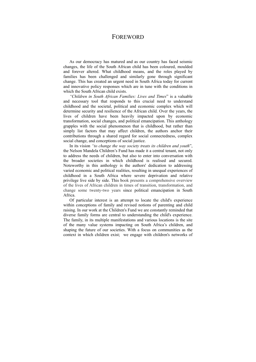### **FOREWORD**

As our democracy has matured and as our country has faced seismic changes, the life of the South African child has been coloured, moulded and forever altered. What childhood means, and the roles played by families has been challenged and similarly gone through significant change. This has created an urgent need in South Africa today for current and innovative policy responses which are in tune with the conditions in which the South African child exists.

*"Children in South African Families: Lives and Times*" is a valuable and necessary tool that responds to this crucial need to understand childhood and the societal, political and economic complex which will determine security and resilience of the African child. Over the years, the lives of children have been heavily impacted upon by economic transformation, social changes, and political emancipation. This anthology grapples with the social phenomenon that is childhood, but rather than simply list factors that may affect children, the authors anchor their contributions through a shared regard for social connectedness, complex social change, and conceptions of social justice.

In its vision *"to change the way society treats its children and youth*", the Nelson Mandela Children's Fund has made it a central tenant, not only to address the needs of children, but also to enter into conversation with the broader societies in which childhood is realised and secured. Noteworthy in this anthology is the authors' dedication to addressing varied economic and political realities, resulting in unequal experiences of childhood in a South Africa where severe deprivation and relative privilege live side by side. This book presents a comprehensive overview of the lives of African children in times of transition, transformation, and change some twenty-two years since political emancipation in South Africa.

Of particular interest is an attempt to locate the child's experience within conceptions of family and revised notions of parenting and child raising. In our work at the Children's Fund we are constantly reminded that diverse family forms are central to understanding the child's experience. The family, in its multiple manifestations and various locations is the site of the many value systems impacting on South Africa's children, and shaping the future of our societies. With a focus on communities as the context in which children exist; we engage with children's networks of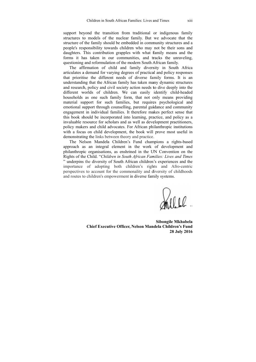support beyond the transition from traditional or indigenous family structures to models of the nuclear family. But we advocate that the structure of the family should be embedded in community structures and a people's responsibility towards children who may not be their sons and daughters. This contribution grapples with what family means and the forms it has taken in our communities, and tracks the unraveling, questioning and reformulation of the modern South African family.

The affirmation of child and family diversity in South Africa articulates a demand for varying degrees of practical and policy responses that prioritise the different needs of diverse family forms. It is an understanding that the African family has taken many dynamic structures and research, policy and civil society action needs to dive deeply into the different worlds of children. We can easily identify child-headed households as one such family form, that not only means providing material support for such families, but requires psychological and emotional support through counselling, parental guidance and community engagement in individual families. It therefore makes perfect sense that this book should be incorporated into learning, practice, and policy as a invaluable resource for scholars and as well as development practitioners, policy makers and child advocates. For African philanthropic institutions with a focus on child development, the book will prove most useful in demonstrating the links between theory and practice.

The Nelson Mandela Children's Fund champions a rights-based approach as an integral element in the work of development and philanthropic organisations, as enshrined in the UN Convention on the Rights of the Child. "*Children in South African Families: Lives and Times* " underpins the diversity of South African children's experiences and the importance of adopting both children's rights and Afro-centric perspectives to account for the commonality and diversity of childhoods and routes to children's empowerment in diverse family systems.

**Chief Executive Officer, Nelson Mandela Children's Fund Sibongile M Mkhabela 28 J July 2016**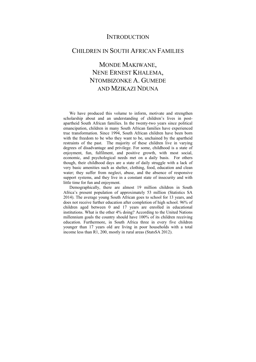### **INTRODUCTION**

### CHILDREN IN SOUTH AFRICAN FAMILIES

## MONDE MAKIWANE, NENE ERNEST KHALEMA, NTOMBIZONKE A. GUMEDE AND MZIKAZI NDUNA

We have produced this volume to inform, motivate and strengthen scholarship about and an understanding of children's lives in postapartheid South African families. In the twenty-two years since political emancipation, children in many South African families have experienced true transformation. Since 1994, South African children have been born with the freedom to be who they want to be, unchained by the apartheid restraints of the past. The majority of these children live in varying degrees of disadvantage and privilege. For some, childhood is a state of enjoyment, fun, fulfilment, and positive growth, with most social, economic, and psychological needs met on a daily basis. For others though, their childhood days are a state of daily struggle with a lack of very basic amenities such as shelter, clothing, food, education and clean water; they suffer from neglect, abuse, and the absence of responsive support systems, and they live in a constant state of insecurity and with little time for fun and enjoyment.

Demographically, there are almost 19 million children in South Africa's present population of approximately 53 million (Statistics SA 2014). The average young South African goes to school for 13 years, and does not receive further education after completion of high school. 96% of children aged between 0 and 17 years are enrolled in educational institutions. What is the other 4% doing? According to the United Nations millennium goals the country should have 100% of its children receiving education. Furthermore, in South Africa three in every five children younger than 17 years old are living in poor households with a total income less than R1, 200, mostly in rural areas (StatsSA 2012).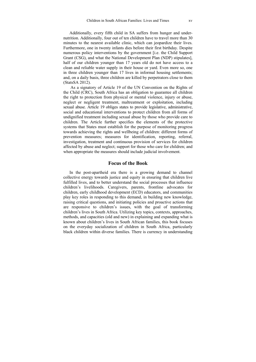Additionally, every fifth child in SA suffers from hunger and undernutrition. Additionally, four out of ten children have to travel more than 30 minutes to the nearest available clinic, which can jeopardize their lives. Furthermore, one in twenty infants dies before their first birthday. Despite numerous policy interventions by the government [i.e. the Child Support Grant (CSG), and what the National Development Plan (NDP) stipulates], half of our children younger than 17 years old do not have access to a clean and reliable water supply in their house or yard. Even more so, one in three children younger than 17 lives in informal housing settlements; and, on a daily basis, three children are killed by perpetrators close to them (StatsSA 2012).

 As a signatory of Article 19 of the UN Convention on the Rights of the Child (CRC), South Africa has an obligation to guarantee all children the right to protection from physical or mental violence, injury or abuse, neglect or negligent treatment, maltreatment or exploitation, including sexual abuse. Article 19 obliges states to provide legislative, administrative, social and educational interventions to protect children from all forms of undignified treatment including sexual abuse by those who provide care to children. The Article further specifies the elements of the protective systems that States must establish for the purpose of monitoring progress towards achieving the rights and wellbeing of children: different forms of prevention measures; measures for identification, reporting, referral, investigation, treatment and continuous provision of services for children affected by abuse and neglect; support for those who care for children; and when appropriate the measures should include judicial involvement.

#### **Focus of the Book**

In the post-apartheid era there is a growing demand to channel collective energy towards justice and equity in ensuring that children live fulfilled lives, and to better understand the social processes that influence children's livelihoods. Caregivers, parents, frontline advocates for children, early childhood development (ECD) educators, and communities play key roles in responding to this demand, in building new knowledge, raising critical questions, and initiating policies and proactive actions that are responsive to children's issues, with the goal of transforming children's lives in South Africa. Utilizing key topics, contexts, approaches, methods, and capacities (old and new) in explaining and expanding what is known about children's lives in South African families, this book focuses on the everyday socialization of children in South Africa, particularly black children within diverse families. There is currency in understanding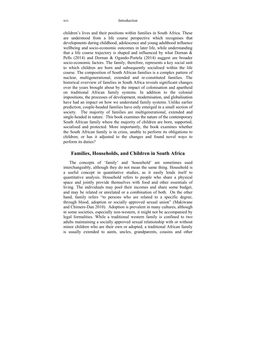children's lives and their positions within families in South Africa. These are understood from a life course perspective which recognises that developments during childhood, adolescence and young adulthood influence wellbeing and socio-economic outcomes in later life, while understanding that a life course trajectory is shaped and influenced by what Dornan  $\&$ Pells (2014) and Dornan & Ogando-Portela (2014) suggest are broader socio-economic factors. The family, therefore, represents a key social unit to which children are born and subsequently socialised within the life course. The composition of South African families is a complex pattern of nuclear, multigenerational, extended and re-constituted families. The historical overview of families in South Africa reveals significant changes over the years brought about by the impact of colonisation and apartheid on traditional African family systems. In addition to the colonial impositions, the processes of development, modernisation, and globalisation have had an impact on how we understand family systems. Unlike earlier prediction, couple-headed families have only emerged in a small section of society. The majority of families are multigenerational, extended and single-headed in nature. This book examines the nature of the contemporary South African family where the majority of children are born, supported, socialised and protected. More importantly, the book examines whether the South African family is in crisis, unable to perform its obligations to children; or has it adjusted to the changes and found novel ways to perform its duties?

### **Families, Households, and Children in South Africa**

The concepts of 'family' and 'household' are sometimes used interchangeably, although they do not mean the same thing. Household is a useful concept in quantitative studies, as it easily lends itself to quantitative analysis. Household refers to people who share a physical space and jointly provide themselves with food and other essentials of living. The individuals may pool their incomes and share some budget, and may be related or unrelated or a combination of both. On the other hand, family refers "to persons who are related to a specific degree, through blood, adoption or socially approved sexual union" (Makiwane and Chimere-Dan 2010). Adoption is prevalent in many cultures, although in some societies, especially non-western, it might not be accompanied by legal formalities. While a traditional western family is confined to two adults maintaining a socially approved sexual relationship with or without minor children who are their own or adopted, a traditional African family is usually extended to aunts, uncles, grandparents, cousins and other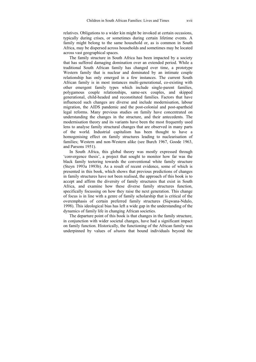relatives. Obligations to a wider kin might be invoked at certain occasions, typically during crises, or sometimes during certain lifetime events. A family might belong to the same household or, as is common in South Africa, may be dispersed across households and sometimes may be located across vast geographical spaces.

The family structure in South Africa has been impacted by a society that has suffered damaging domination over an extended period. While a traditional South African family has changed over time, a prototype Western family that is nuclear and dominated by an intimate couple relationship has only emerged in a few instances. The current South African family is in most instances multi-generational, co-existing with other emergent family types which include single-parent families, polygamous couple relationships, same-sex couples, and skipped generational, child-headed and reconstituted families. Factors that have influenced such changes are diverse and include modernisation, labour migration, the AIDS pandemic and the post-colonial and post-apartheid legal reforms. Many previous studies on family have concentrated on understanding the changes in the structure, and their antecedents. The modernisation theory and its variants have been the most frequently used lens to analyse family structural changes that are observed in many parts of the world. Industrial capitalism has been thought to have a homogenising effect on family structures leading to nuclearisation of families; Western and non-Western alike (see Burch 1967, Goode 1963, and Parsons 1951).

In South Africa, this global theory was mostly expressed through 'convergence thesis', a project that sought to monitor how far was the black family teetering towards the conventional white family structure (Steyn 1993a 1993b). As a result of recent evidence, some of which is presented in this book, which shows that previous predictions of changes in family structures have not been realised, the approach of this book is to accept and affirm the diversity of family structures that exist in South Africa, and examine how these diverse family structures function, specifically focussing on how they raise the next generation. This change of focus is in line with a genre of family scholarship that is critical of the overemphasis of certain preferred family structures (Siqwana-Ndulo, 1998). This ideological bias has left a wide gap in the understanding of the dynamics of family life in changing African societies.

The departure point of this book is that changes in the family structure, in conjunction with wider societal changes, have had a significant impact on family function. Historically, the functioning of the African family was underpinned by values of *ubuntu* that bound individuals beyond the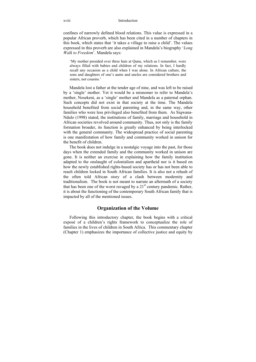confines of narrowly defined blood relations. This value is expressed in a popular African proverb, which has been cited in a number of chapters in this book, which states that 'it takes a village to raise a child'. The values expressed in this proverb are also explained in Mandela's biography '*Long Walk to Freedom*'. Mandela says:

'My mother presided over three huts at Qunu, which as I remember, were always filled with babies and children of my relations. In fact, I hardly recall any occasion as a child when I was alone. In African culture, the sons and daughters of one's aunts and uncles are considered brothers and sisters, not cousins.'

Mandela lost a father at the tender age of nine, and was left to be raised by a 'single' mother. Yet it would be a misnomer to refer to Mandela's mother, Nosekeni, as a 'single' mother and Mandela as a paternal orphan. Such concepts did not exist in that society at the time. The Mandela household benefited from social parenting and, in the same way, other families who were less privileged also benefited from them. As Siqwana-Ndulo (1998) stated, the institutions of family, marriage and household in African societies revolved around community. Thus, not only is the family formation broader, its function is greatly enhanced by being interlocked with the general community. The widespread practice of social parenting is one manifestation of how family and community worked in unison for the benefit of children.

The book does not indulge in a nostalgic voyage into the past, for those days when the extended family and the community worked in unison are gone. It is neither an exercise in explaining how the family institution adapted to the onslaught of colonialism and apartheid nor is it based on how the newly established rights-based society has or has not been able to reach children locked in South African families. It is also not a rehash of the often told African story of a clash between modernity and traditionalism. The book is not meant to narrate an aftermath of a society that has been one of the worst ravaged by a  $21<sup>st</sup>$  century pandemic. Rather, it is about the functioning of the contemporary South African family that is impacted by all of the mentioned issues.

### **Organization of the Volume**

Following this introductory chapter, the book begins with a critical exposé of a children's rights framework to conceptualize the role of families in the lives of children in South Africa. This commentary chapter (Chapter 1) emphasizes the importance of collective justice and equity by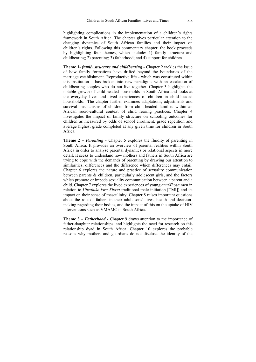highlighting complications in the implementation of a children's rights framework in South Africa. The chapter gives particular attention to the changing dynamics of South African families and their impact on children's rights. Following this commentary chapter, the book proceeds by highlighting four themes, which include: 1) family structure and childbearing; 2) parenting; 3) fatherhood; and 4) support for children.

**Theme 1**- *family structure and childbearing* - Chapter 2 tackles the issue of how family formations have drifted beyond the boundaries of the marriage establishment. Reproductive life - which was constituted within this institution – has broken into new paradigms with an escalation of childbearing couples who do not live together. Chapter 3 highlights the notable growth of child-headed households in South Africa and looks at the everyday lives and lived experiences of children in child-headed households. The chapter further examines adaptations, adjustments and survival mechanisms of children from child-headed families within an African socio-cultural context of child rearing practices. Chapter 4 investigates the impact of family structure on schooling outcomes for children as measured by odds of school enrolment, grade repetition and average highest grade completed at any given time for children in South Africa.

**Theme 2 –** *Parenting* - Chapter 5 explores the fluidity of parenting in South Africa. It provides an overview of parental realities within South Africa in order to analyse parental dynamics or relational aspects in more detail. It seeks to understand how mothers and fathers in South Africa are trying to cope with the demands of parenting by drawing our attention to similarities, differences and the difference which differences may entail. Chapter 6 explores the nature and practice of sexuality communication between parents & children, particularly adolescent girls, and the factors which promote or impede sexuality communication between a parent and a child. Chapter 7 explores the lived experiences of young *amaXhosa* men in relation to *Ulwaluko kwa Xhosa* traditional male initiation [TMI]) and its impact on their sense of masculinity. Chapter 8 raises important questions about the role of fathers in their adult sons' lives, health and decisionmaking regarding their bodies, and the impact of this on the uptake of HIV interventions such as VMAMC in South Africa.

**Theme 3 –** *Fatherhood* **-** Chapter 9 draws attention to the importance of father-daughter relationships, and highlights the need for research on this relationship dyad in South Africa. Chapter 10 explores the probable reasons why mothers and guardians do not disclose the identity of the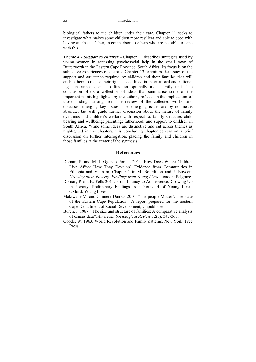biological fathers to the children under their care. Chapter 11 seeks to investigate what makes some children more resilient and able to cope with having an absent father, in comparison to others who are not able to cope with this.

**Theme 4 -** *Support to children* - Chapter 12 describes strategies used by young women in accessing psychosocial help in the small town of Butterworth in the Eastern Cape Province, South Africa. Its focus is on the subjective experiences of distress. Chapter 13 examines the issues of the support and assistance required by children and their families that will enable them to realise their rights, as outlined in international and national legal instruments, and to function optimally as a family unit. The conclusion offers a collection of ideas that summarise some of the important points highlighted by the authors, reflects on the implications of those findings arising from the review of the collected works, and discusses emerging key issues. The emerging issues are by no means absolute, but will guide further discussion about the nature of family dynamics and children's welfare with respect to: family structure, child bearing and wellbeing; parenting; fatherhood; and support to children in South Africa. While some ideas are distinctive and cut across themes as highlighted in the chapters, this concluding chapter centers on a brief discussion on further interrogation, placing the family and children in those families at the center of the synthesis.

### **References**

- Dornan, P. and M. J. Ogando Portela 2014. How Does Where Children Live Affect How They Develop? Evidence from Communities in Ethiopia and Vietnam, Chapter 1 in M. Bourdillon and J. Boyden, *Growing up in Poverty: Findings from Young Lives*, London: Palgrave.
- Dornan, P and K. Pells 2014. From Infancy to Adolescence: Growing Up in Poverty, Preliminary Findings from Round 4 of Young Lives, Oxford: Young Lives.
- Makiwane M. and Chimere-Dan O. 2010. "The people Matter": The state of the Eastern Cape Population. A report prepared for the Eastern Cape Department of Social Development, Unpublished.
- Burch, J. 1967. "The size and structure of families: A comparative analysis of census data". *American Sociological Review* 32(3): 347-363.
- Goode, W. 1963. World Revolution and Family patterns. New York: Free Press.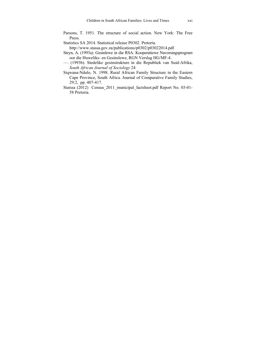- Parsons, T. 1951. The structure of social action. New York: The Free Press.
- Statistics SA 2014. Statistical release P0302. Pretoria.

http://www.stassa.gov.za/publications/p0302/p03022014.pdf

- Steyn, A. (1993a). Gesinlewe in die RSA. Kooperatiewe Navorsingsprogram oor die Huweliks- en Gesinslewe, RGN Verslag HG/MF-4.
- —. (1993b). Stedelike gesinstrukture in die Republiek van Suid-Afrika, *South African Journal of Sociology* 24
- Siqwana-Ndulo, N. 1998. Rural African Family Structure in the Eastern Cape Province, South Africa. Journal of Comparative Family Studies, 29:2, pp. 407-417.
- Statssa (2012) Census 2011 municipal factsheet.pdf Report No. 03-01-58 Pretoria.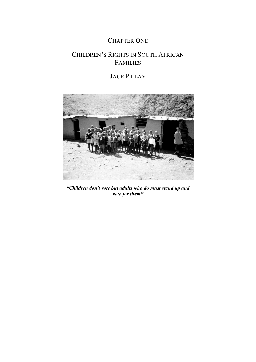### CHAPTER ONE

# CHILDREN'S RIGHTS IN SOUTH AFRICAN FAMILIES

## JACE PILLAY



*"Children don't vote but adults who do must stand up and vote for them"*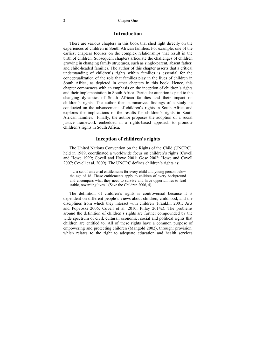#### **Introduction**

There are various chapters in this book that shed light directly on the experiences of children in South African families. For example, one of the earliest chapters focuses on the complex relationships that result in the birth of children. Subsequent chapters articulate the challenges of children growing in changing family structures, such as single-parent, absent father, and child-headed families. The author of this chapter asserts that a critical understanding of children's rights within families is essential for the conceptualization of the role that families play in the lives of children in South Africa, as depicted in other chapters in this book. Hence, this chapter commences with an emphasis on the inception of children's rights and their implementation in South Africa. Particular attention is paid to the changing dynamics of South African families and their impact on children's rights. The author then summarizes findings of a study he conducted on the advancement of children's rights in South Africa and explores the implications of the results for children's rights in South African families. Finally, the author proposes the adoption of a social justice framework embedded in a rights-based approach to promote children's rights in South Africa.

#### **Inception of children's rights**

The United Nations Convention on the Rights of the Child (UNCRC), held in 1989, coordinated a worldwide focus on children's rights (Covell and Howe 1999; Covell and Howe 2001; Gose 2002; Howe and Covell 2007; Covell et al. 2009). The UNCRC defines children's rights as:

"… a set of universal entitlements for every child and young person below the age of 18. These entitlements apply to children of every background and encompass what they need to survive and have opportunities to lead stable, rewarding lives." (Save the Children 2006, 4).

The definition of children's rights is controversial because it is dependent on different people's views about children, childhood, and the disciplines from which they interact with children (Franklin 2001; Arts and Popvoski 2006; Covell et al. 2010; Pillay 2014a). The problems around the definition of children's rights are further compounded by the wide spectrum of civil, cultural, economic, social and political rights that children are entitled to. All of these rights have a common purpose of empowering and protecting children (Mangold 2002), through: provision, which relates to the right to adequate education and health services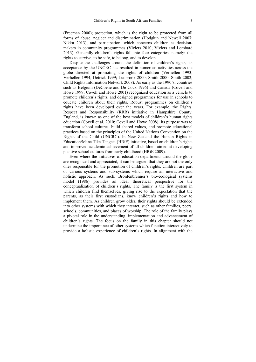(Freeman 2000); protection, which is the right to be protected from all forms of abuse, neglect and discrimination (Hodgkin and Newell 2007; Nikku 2013); and participation, which concerns children as decisionmakers in community programmes (Viviers 2010; Viviers and Lombard 2013). Generally children's rights fall into four categories, namely: the rights to survive, to be safe, to belong, and to develop.

Despite the challenges around the definition of children's rights, its acceptance by the UNCRC has resulted in numerous activities across the globe directed at promoting the rights of children (Verhellen 1993; Verhellen 1994; Detrick 1999; Ludbrook 2000; Smith 2000, Smith 2002; Child Rights Information Network 2008). As early as the 1990's, countries such as Belgium (DeCoene and De Cock 1996) and Canada (Covell and Howe 1999; Covell and Howe 2001) recognized education as a vehicle to promote children's rights, and designed programmes for use in schools to educate children about their rights. Robust programmes on children's rights have been developed over the years. For example, the Rights, Respect and Responsibility (RRR) initiative in Hampshire County, England, is known as one of the best models of children's human rights education (Covell et al. 2010; Covell and Howe 2008). Its purpose was to transform school cultures, build shared values, and promote educational practices based on the principles of the United Nations Convention on the Rights of the Child (UNCRC). In New Zealand the Human Rights in Education/Mana Tika Tangata (HRiE) initiative, based on children's rights and improved academic achievement of all children, aimed at developing positive school cultures from early childhood (HRiE 2009).

Even where the initiatives of education departments around the globe are recognized and appreciated, it can be argued that they are not the only ones responsible for the promotion of children's rights. Children are part of various systems and sub-systems which require an interactive and holistic approach. As such, Bronfenbrenner's bio-ecological systems model (1986) provides an ideal theoretical perspective for the conceptualization of children's rights. The family is the first system in which children find themselves, giving rise to the expectation that the parents, as their first custodians, know children's rights and how to implement them. As children grow older, their rights should be extended into other systems with which they interact, such as other families, peers, schools, communities, and places of worship. The role of the family plays a pivotal role in the understanding, implementation and advancement of children's rights. The focus on the family in this chapter should not undermine the importance of other systems which function interactively to provide a holistic experience of children's rights. In alignment with the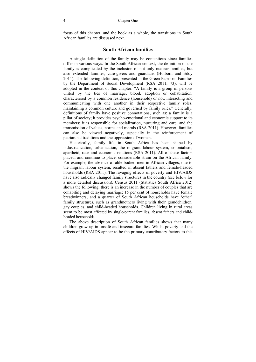focus of this chapter, and the book as a whole, the transitions in South African families are discussed next.

#### **South African families**

A single definition of the family may be contentious since families differ in various ways. In the South African context, the definition of the family is complicated by the inclusion of not only nuclear families, but also extended families, care-givers and guardians (Holborn and Eddy 2011). The following definition, presented in the Green Paper on Families by the Department of Social Development (RSA 2011, 73), will be adopted in the context of this chapter: "A family is a group of persons united by the ties of marriage, blood, adoption or cohabitation, characterised by a common residence (household) or not, interacting and communicating with one another in their respective family roles, maintaining a common culture and governed by family rules." Generally, definitions of family have positive connotations, such as: a family is a pillar of society; it provides psycho-emotional and economic support to its members; it is responsible for socialization, nurturing and care, and the transmission of values, norms and morals (RSA 2011). However, families can also be viewed negatively, especially in the reinforcement of patriarchal traditions and the oppression of women.

Historically, family life in South Africa has been shaped by industrialization, urbanization, the migrant labour system, colonialism, apartheid, race and economic relations (RSA 2011). All of these factors placed, and continue to place, considerable strain on the African family. For example, the absence of able-bodied men in African villages, due to the migrant labour system, resulted in absent fathers and female-headed households (RSA 2011). The ravaging effects of poverty and HIV/AIDS have also radically changed family structures in the country (see below for a more detailed discussion). Census 2011 (Statistics South Africa 2012) shows the following: there is an increase in the number of couples that are cohabiting and delaying marriage; 15 per cent of households have female breadwinners; and a quarter of South African households have 'other' family structures, such as grandmothers living with their grandchildren, gay couples, and child-headed households. Children living in rural areas seem to be most affected by single-parent families, absent fathers and childheaded households.

The above description of South African families shows that many children grow up in unsafe and insecure families. Whilst poverty and the effects of HIV/AIDS appear to be the primary contributory factors to this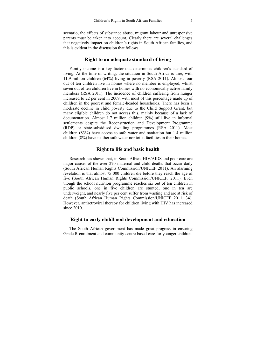scenario, the effects of substance abuse, migrant labour and unresponsive parents must be taken into account. Clearly there are several challenges that negatively impact on children's rights in South African families, and this is evident in the discussion that follows.

### **Right to an adequate standard of living**

Family income is a key factor that determines children's standard of living. At the time of writing, the situation in South Africa is dire, with 11.9 million children (64%) living in poverty (RSA 2011). Almost four out of ten children live in homes where no member is employed, whilst seven out of ten children live in homes with no economically active family members (RSA 2011). The incidence of children suffering from hunger increased to 22 per cent in 2009, with most of this percentage made up of children in the poorest and female-headed households. There has been a moderate decline in child poverty due to the Child Support Grant, but many eligible children do not access this, mainly because of a lack of documentation. Almost 1.7 million children (9%) still live in informal settlements despite the Reconstruction and Development Programme (RDP) or state-subsidised dwelling programmes (RSA 2011). Most children (83%) have access to safe water and sanitation but 1.4 million children (8%) have neither safe water nor toilet facilities in their homes.

### **Right to life and basic health**

Research has shown that, in South Africa, HIV/AIDS and poor care are major causes of the over 270 maternal and child deaths that occur daily (South African Human Rights Commission/UNICEF 2011). An alarming revelation is that almost 75 000 children die before they reach the age of five (South African Human Rights Commission/UNICEF, 2011). Even though the school nutrition programme reaches six out of ten children in public schools, one in five children are stunted, one in ten are underweight, and nearly five per cent suffer from wasting and are at risk of death (South African Human Rights Commission/UNICEF 2011, 34). However, antiretroviral therapy for children living with HIV has increased since 2010

### **Right to early childhood development and education**

The South African government has made great progress in ensuring Grade R enrolment and community centre-based care for younger children.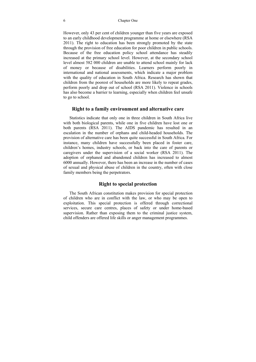However, only 43 per cent of children younger than five years are exposed to an early childhood development programme at home or elsewhere (RSA 2011). The right to education has been strongly promoted by the state through the provision of free education for poor children in public schools. Because of the free education policy school attendance has steadily increased at the primary school level. However, at the secondary school level almost 582 000 children are unable to attend school mainly for lack of money or because of disabilities. Learners perform poorly in international and national assessments, which indicate a major problem with the quality of education in South Africa. Research has shown that children from the poorest of households are more likely to repeat grades, perform poorly and drop out of school (RSA 2011). Violence in schools has also become a barrier to learning, especially when children feel unsafe to go to school.

#### **Right to a family environment and alternative care**

Statistics indicate that only one in three children in South Africa live with both biological parents, while one in five children have lost one or both parents (RSA 2011). The AIDS pandemic has resulted in an escalation in the number of orphans and child-headed households. The provision of alternative care has been quite successful in South Africa. For instance, many children have successfully been placed in foster care, children's homes, industry schools, or back into the care of parents or caregivers under the supervision of a social worker (RSA 2011). The adoption of orphaned and abandoned children has increased to almost 6000 annually. However, there has been an increase in the number of cases of sexual and physical abuse of children in the country, often with close family members being the perpetrators.

### **Right to special protection**

The South African constitution makes provision for special protection of children who are in conflict with the law, or who may be open to exploitation. This special protection is offered through correctional services, secure care centres, places of safety or under home-based supervision. Rather than exposing them to the criminal justice system, child offenders are offered life skills or anger management programmes.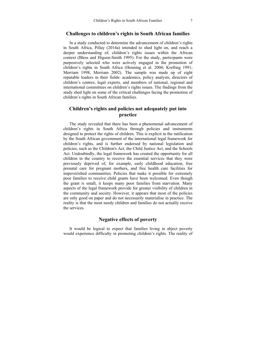#### **Challenges to children's rights in South African families**

In a study conducted to determine the advancement of children's rights in South Africa, Pillay (2014a) intended to shed light on, and reach a deeper understanding of, children's rights issues within the African context (Bless and Higson-Smith 1995). For the study, participants were purposively selected who were actively engaged in the promotion of children's rights in South Africa (Henning et al. 2004; Krefting 1991; Merriam 1998; Merriam 2002). The sample was made up of eight reputable leaders in their fields: academics, policy analysts, directors of children's centres, legal experts, and members of national, regional and international committees on children's rights issues. The findings from the study shed light on some of the critical challenges facing the promotion of children's rights in South African families.

### **Children's rights and policies not adequately put into practice**

The study revealed that there has been a phenomenal advancement of children's rights in South Africa through policies and instruments designed to protect the rights of children. This is explicit in the ratification by the South African government of the international legal framework for children's rights, and is further endorsed by national legislation and policies, such as the Children's Act, the Child Justice Act, and the Schools Act. Undoubtedly, the legal framework has created the opportunity for all children in the country to receive the essential services that they were previously deprived of, for example, early childhood education, free prenatal care for pregnant mothers, and free health care facilities for impoverished communities. Policies that make it possible for extremely poor families to receive child grants have been welcomed. Even though the grant is small, it keeps many poor families from starvation. Many aspects of the legal framework provide for greater visibility of children in the community and society. However, it appears that most of the policies are only good on paper and do not necessarily materialise in practice. The reality is that the most needy children and families do not actually receive the services.

### **Negative effects of poverty**

It would be logical to expect that families living in abject poverty would experience difficulty in promoting children's rights. The reality of